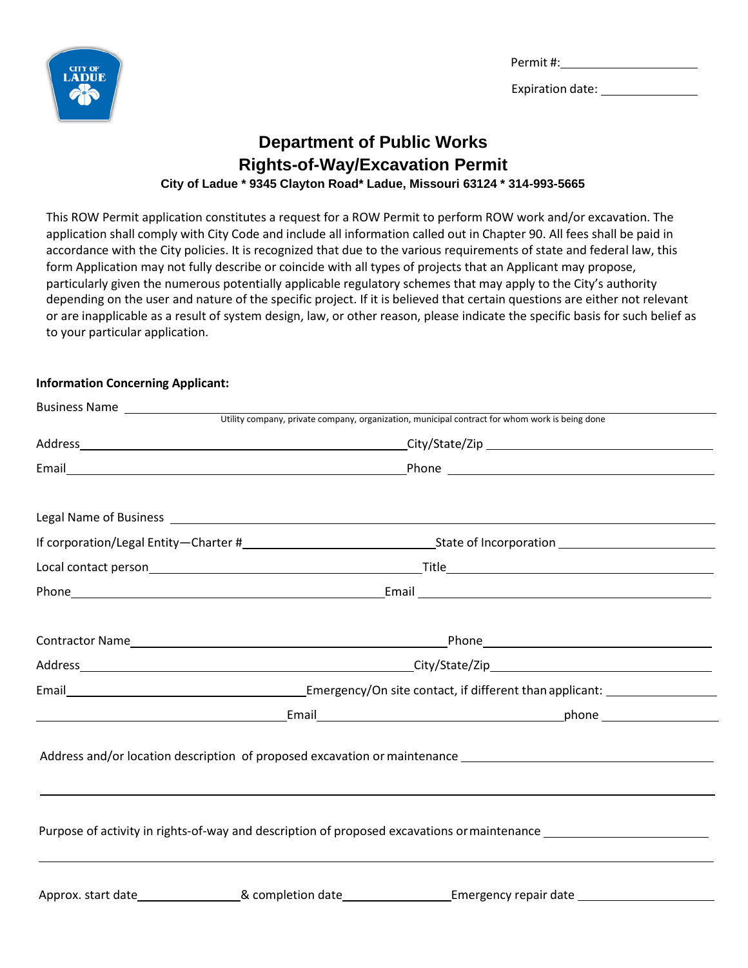Permit #:



Expiration date: \_\_\_\_\_\_\_

### **Department of Public Works Rights-of-Way/Excavation Permit City of Ladue \* 9345 Clayton Road\* Ladue, Missouri 63124 \* 314-993-5665**

This ROW Permit application constitutes a request for a ROW Permit to perform ROW work and/or excavation. The application shall comply with City Code and include all information called out in Chapter 90. All fees shall be paid in accordance with the City policies. It is recognized that due to the various requirements of state and federal law, this form Application may not fully describe or coincide with all types of projects that an Applicant may propose, particularly given the numerous potentially applicable regulatory schemes that may apply to the City's authority depending on the user and nature of the specific project. If it is believed that certain questions are either not relevant or are inapplicable as a result of system design, law, or other reason, please indicate the specific basis for such belief as to your particular application.

#### **Information Concerning Applicant:**

| Business Name |                                                                  |                                                                                                |  |
|---------------|------------------------------------------------------------------|------------------------------------------------------------------------------------------------|--|
|               |                                                                  | Utility company, private company, organization, municipal contract for whom work is being done |  |
|               |                                                                  |                                                                                                |  |
|               |                                                                  |                                                                                                |  |
|               |                                                                  |                                                                                                |  |
|               |                                                                  |                                                                                                |  |
|               |                                                                  |                                                                                                |  |
|               |                                                                  |                                                                                                |  |
|               |                                                                  |                                                                                                |  |
|               |                                                                  |                                                                                                |  |
|               | Email Complete Line of the Contact, if different than applicant: |                                                                                                |  |
|               |                                                                  |                                                                                                |  |
|               |                                                                  |                                                                                                |  |
|               |                                                                  |                                                                                                |  |
|               |                                                                  |                                                                                                |  |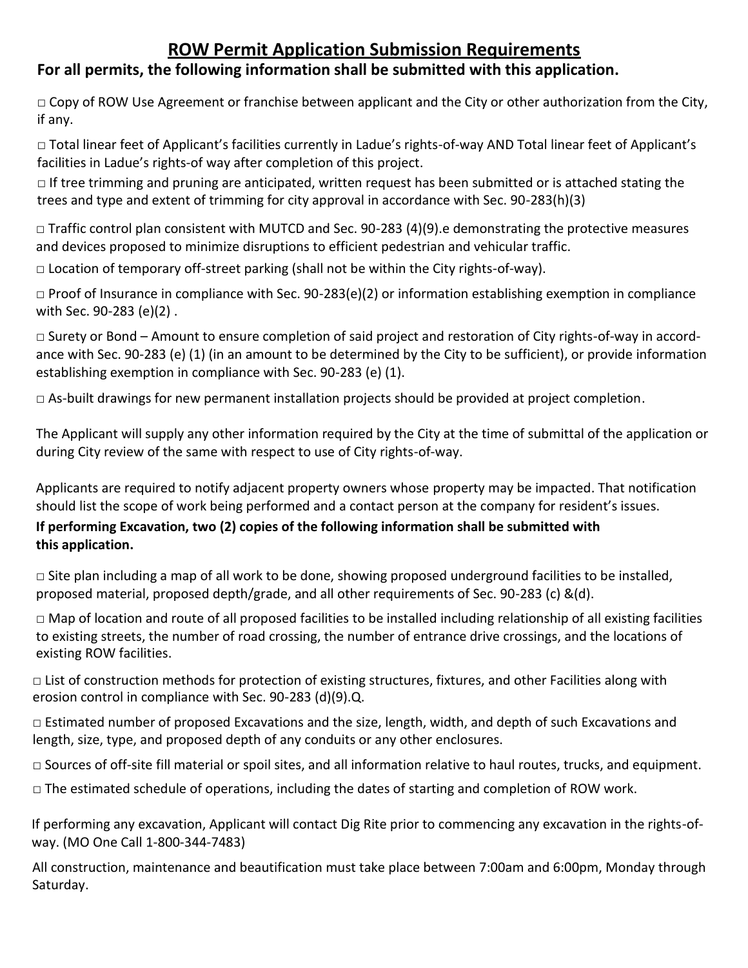# **ROW Permit Application Submission Requirements**

## **For all permits, the following information shall be submitted with this application.**

□ Copy of ROW Use Agreement or franchise between applicant and the City or other authorization from the City, if any.

□ Total linear feet of Applicant's facilities currently in Ladue's rights-of-way AND Total linear feet of Applicant's facilities in Ladue's rights-of way after completion of this project.

 $\Box$  If tree trimming and pruning are anticipated, written request has been submitted or is attached stating the trees and type and extent of trimming for city approval in accordance with Sec. 90-283(h)(3)

 $\Box$  Traffic control plan consistent with MUTCD and Sec. 90-283 (4)(9).e demonstrating the protective measures and devices proposed to minimize disruptions to efficient pedestrian and vehicular traffic.

 $\Box$  Location of temporary off-street parking (shall not be within the City rights-of-way).

 $\Box$  Proof of Insurance in compliance with Sec. 90-283(e)(2) or information establishing exemption in compliance with Sec. 90-283 (e)(2) .

□ Surety or Bond – Amount to ensure completion of said project and restoration of City rights-of-way in accordance with Sec. 90-283 (e) (1) (in an amount to be determined by the City to be sufficient), or provide information establishing exemption in compliance with Sec. 90-283 (e) (1).

 $\Box$  As-built drawings for new permanent installation projects should be provided at project completion.

The Applicant will supply any other information required by the City at the time of submittal of the application or during City review of the same with respect to use of City rights-of-way.

Applicants are required to notify adjacent property owners whose property may be impacted. That notification should list the scope of work being performed and a contact person at the company for resident's issues.

#### **If performing Excavation, two (2) copies of the following information shall be submitted with this application.**

 $\Box$  Site plan including a map of all work to be done, showing proposed underground facilities to be installed, proposed material, proposed depth/grade, and all other requirements of Sec. 90-283 (c) &(d).

□ Map of location and route of all proposed facilities to be installed including relationship of all existing facilities to existing streets, the number of road crossing, the number of entrance drive crossings, and the locations of existing ROW facilities.

 $\Box$  List of construction methods for protection of existing structures, fixtures, and other Facilities along with erosion control in compliance with Sec. 90-283 (d)(9).Q.

 $\Box$  Estimated number of proposed Excavations and the size, length, width, and depth of such Excavations and length, size, type, and proposed depth of any conduits or any other enclosures.

 $\Box$  Sources of off-site fill material or spoil sites, and all information relative to haul routes, trucks, and equipment.

□ The estimated schedule of operations, including the dates of starting and completion of ROW work.

If performing any excavation, Applicant will contact Dig Rite prior to commencing any excavation in the rights-ofway. (MO One Call 1-800-344-7483)

All construction, maintenance and beautification must take place between 7:00am and 6:00pm, Monday through Saturday.